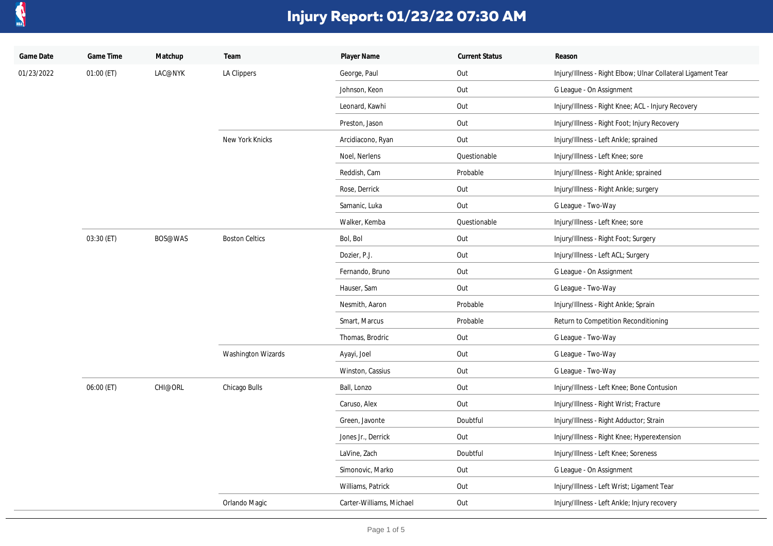

| Game Date  | Game Time  | Matchup | Team                  | Player Name              | <b>Current Status</b> | Reason                                                       |
|------------|------------|---------|-----------------------|--------------------------|-----------------------|--------------------------------------------------------------|
| 01/23/2022 | 01:00 (ET) | LAC@NYK | LA Clippers           | George, Paul             | Out                   | Injury/Illness - Right Elbow; Ulnar Collateral Ligament Tear |
|            |            |         |                       | Johnson, Keon            | Out                   | G League - On Assignment                                     |
|            |            |         |                       | Leonard, Kawhi           | Out                   | Injury/Illness - Right Knee; ACL - Injury Recovery           |
|            |            |         |                       | Preston, Jason           | Out                   | Injury/Illness - Right Foot; Injury Recovery                 |
|            |            |         | New York Knicks       | Arcidiacono, Ryan        | Out                   | Injury/Illness - Left Ankle; sprained                        |
|            |            |         |                       | Noel, Nerlens            | Questionable          | Injury/Illness - Left Knee; sore                             |
|            |            |         |                       | Reddish, Cam             | Probable              | Injury/Illness - Right Ankle; sprained                       |
|            |            |         |                       | Rose, Derrick            | Out                   | Injury/Illness - Right Ankle; surgery                        |
|            |            |         |                       | Samanic, Luka            | Out                   | G League - Two-Way                                           |
|            |            |         |                       | Walker, Kemba            | Questionable          | Injury/Illness - Left Knee; sore                             |
|            | 03:30 (ET) | BOS@WAS | <b>Boston Celtics</b> | Bol, Bol                 | Out                   | Injury/Illness - Right Foot; Surgery                         |
|            |            |         |                       | Dozier, P.J.             | Out                   | Injury/Illness - Left ACL; Surgery                           |
|            |            |         |                       | Fernando, Bruno          | Out                   | G League - On Assignment                                     |
|            |            |         |                       | Hauser, Sam              | Out                   | G League - Two-Way                                           |
|            |            |         |                       | Nesmith, Aaron           | Probable              | Injury/Illness - Right Ankle; Sprain                         |
|            |            |         |                       | Smart, Marcus            | Probable              | Return to Competition Reconditioning                         |
|            |            |         |                       | Thomas, Brodric          | Out                   | G League - Two-Way                                           |
|            |            |         | Washington Wizards    | Ayayi, Joel              | Out                   | G League - Two-Way                                           |
|            |            |         |                       | Winston, Cassius         | Out                   | G League - Two-Way                                           |
|            | 06:00 (ET) | CHI@ORL | Chicago Bulls         | Ball, Lonzo              | Out                   | Injury/Illness - Left Knee; Bone Contusion                   |
|            |            |         |                       | Caruso, Alex             | Out                   | Injury/Illness - Right Wrist; Fracture                       |
|            |            |         |                       | Green, Javonte           | Doubtful              | Injury/Illness - Right Adductor; Strain                      |
|            |            |         |                       | Jones Jr., Derrick       | Out                   | Injury/Illness - Right Knee; Hyperextension                  |
|            |            |         |                       | LaVine, Zach             | Doubtful              | Injury/Illness - Left Knee; Soreness                         |
|            |            |         |                       | Simonovic, Marko         | Out                   | G League - On Assignment                                     |
|            |            |         |                       | Williams, Patrick        | Out                   | Injury/Illness - Left Wrist; Ligament Tear                   |
|            |            |         | Orlando Magic         | Carter-Williams, Michael | Out                   | Injury/Illness - Left Ankle; Injury recovery                 |
|            |            |         |                       |                          |                       |                                                              |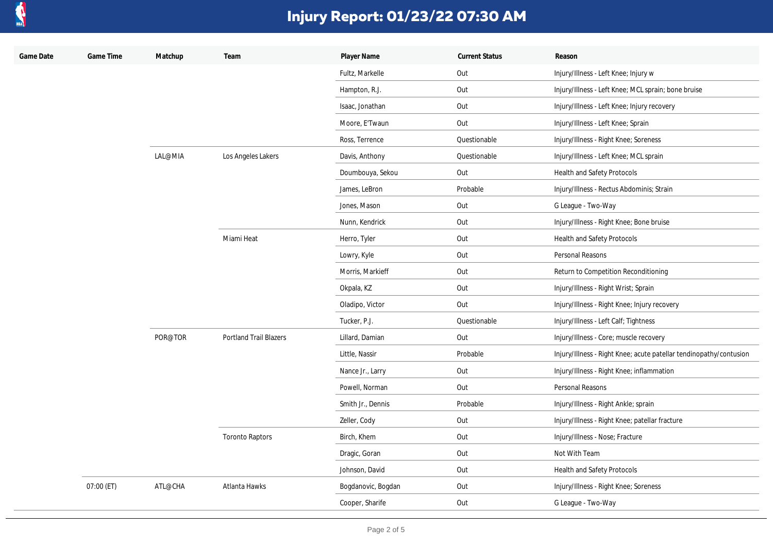

| Game Date | Game Time  | Matchup | Team                   | Player Name        | <b>Current Status</b> | Reason                                                             |
|-----------|------------|---------|------------------------|--------------------|-----------------------|--------------------------------------------------------------------|
|           |            |         |                        | Fultz, Markelle    | Out                   | Injury/Illness - Left Knee; Injury w                               |
|           |            |         |                        | Hampton, R.J.      | Out                   | Injury/Illness - Left Knee; MCL sprain; bone bruise                |
|           |            |         |                        | Isaac, Jonathan    | Out                   | Injury/Illness - Left Knee; Injury recovery                        |
|           |            |         |                        | Moore, E'Twaun     | Out                   | Injury/Illness - Left Knee; Sprain                                 |
|           |            |         |                        | Ross, Terrence     | Questionable          | Injury/Illness - Right Knee; Soreness                              |
|           |            | LAL@MIA | Los Angeles Lakers     | Davis, Anthony     | Questionable          | Injury/Illness - Left Knee; MCL sprain                             |
|           |            |         |                        | Doumbouya, Sekou   | Out                   | Health and Safety Protocols                                        |
|           |            |         |                        | James, LeBron      | Probable              | Injury/Illness - Rectus Abdominis; Strain                          |
|           |            |         |                        | Jones, Mason       | Out                   | G League - Two-Way                                                 |
|           |            |         |                        | Nunn, Kendrick     | Out                   | Injury/Illness - Right Knee; Bone bruise                           |
|           |            |         | Miami Heat             | Herro, Tyler       | Out                   | Health and Safety Protocols                                        |
|           |            |         |                        | Lowry, Kyle        | Out                   | Personal Reasons                                                   |
|           |            |         |                        | Morris, Markieff   | Out                   | Return to Competition Reconditioning                               |
|           |            |         |                        | Okpala, KZ         | Out                   | Injury/Illness - Right Wrist; Sprain                               |
|           |            |         |                        | Oladipo, Victor    | Out                   | Injury/Illness - Right Knee; Injury recovery                       |
|           |            |         |                        | Tucker, P.J.       | Questionable          | Injury/Illness - Left Calf; Tightness                              |
|           |            | POR@TOR | Portland Trail Blazers | Lillard, Damian    | Out                   | Injury/Illness - Core; muscle recovery                             |
|           |            |         |                        | Little, Nassir     | Probable              | Injury/Illness - Right Knee; acute patellar tendinopathy/contusion |
|           |            |         |                        | Nance Jr., Larry   | Out                   | Injury/Illness - Right Knee; inflammation                          |
|           |            |         |                        | Powell, Norman     | Out                   | Personal Reasons                                                   |
|           |            |         |                        | Smith Jr., Dennis  | Probable              | Injury/Illness - Right Ankle; sprain                               |
|           |            |         |                        | Zeller, Cody       | Out                   | Injury/Illness - Right Knee; patellar fracture                     |
|           |            |         | <b>Toronto Raptors</b> | Birch, Khem        | Out                   | Injury/Illness - Nose; Fracture                                    |
|           |            |         |                        | Dragic, Goran      | Out                   | Not With Team                                                      |
|           |            |         |                        | Johnson, David     | Out                   | Health and Safety Protocols                                        |
|           | 07:00 (ET) | ATL@CHA | Atlanta Hawks          | Bogdanovic, Bogdan | Out                   | Injury/Illness - Right Knee; Soreness                              |
|           |            |         |                        | Cooper, Sharife    | Out                   | G League - Two-Way                                                 |
|           |            |         |                        |                    |                       |                                                                    |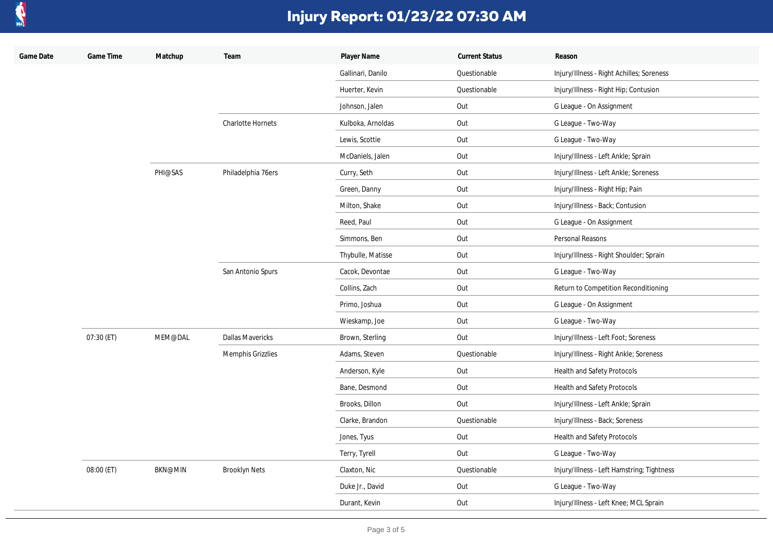

| Game Date | Game Time  | Matchup        | Team                     | Player Name       | <b>Current Status</b> | Reason                                     |
|-----------|------------|----------------|--------------------------|-------------------|-----------------------|--------------------------------------------|
|           |            |                |                          | Gallinari, Danilo | Questionable          | Injury/Illness - Right Achilles; Soreness  |
|           |            |                |                          | Huerter, Kevin    | Questionable          | Injury/Illness - Right Hip; Contusion      |
|           |            |                |                          | Johnson, Jalen    | Out                   | G League - On Assignment                   |
|           |            |                | <b>Charlotte Hornets</b> | Kulboka, Arnoldas | Out                   | G League - Two-Way                         |
|           |            |                |                          | Lewis, Scottie    | Out                   | G League - Two-Way                         |
|           |            |                |                          | McDaniels, Jalen  | Out                   | Injury/Illness - Left Ankle; Sprain        |
|           |            | PHI@SAS        | Philadelphia 76ers       | Curry, Seth       | Out                   | Injury/Illness - Left Ankle; Soreness      |
|           |            |                |                          | Green, Danny      | Out                   | Injury/Illness - Right Hip; Pain           |
|           |            |                |                          | Milton, Shake     | Out                   | Injury/Illness - Back; Contusion           |
|           |            |                |                          | Reed, Paul        | Out                   | G League - On Assignment                   |
|           |            |                |                          | Simmons, Ben      | Out                   | Personal Reasons                           |
|           |            |                |                          | Thybulle, Matisse | Out                   | Injury/Illness - Right Shoulder; Sprain    |
|           |            |                | San Antonio Spurs        | Cacok, Devontae   | Out                   | G League - Two-Way                         |
|           |            |                |                          | Collins, Zach     | Out                   | Return to Competition Reconditioning       |
|           |            |                |                          | Primo, Joshua     | Out                   | G League - On Assignment                   |
|           |            |                |                          | Wieskamp, Joe     | Out                   | G League - Two-Way                         |
|           | 07:30 (ET) | MEM@DAL        | <b>Dallas Mavericks</b>  | Brown, Sterling   | Out                   | Injury/Illness - Left Foot; Soreness       |
|           |            |                | Memphis Grizzlies        | Adams, Steven     | Questionable          | Injury/Illness - Right Ankle; Soreness     |
|           |            |                |                          | Anderson, Kyle    | Out                   | Health and Safety Protocols                |
|           |            |                |                          | Bane, Desmond     | Out                   | Health and Safety Protocols                |
|           |            |                |                          | Brooks, Dillon    | Out                   | Injury/Illness - Left Ankle; Sprain        |
|           |            |                |                          | Clarke, Brandon   | Questionable          | Injury/Illness - Back; Soreness            |
|           |            |                |                          | Jones, Tyus       | Out                   | Health and Safety Protocols                |
|           |            |                |                          | Terry, Tyrell     | Out                   | G League - Two-Way                         |
|           | 08:00 (ET) | <b>BKN@MIN</b> | <b>Brooklyn Nets</b>     | Claxton, Nic      | Questionable          | Injury/Illness - Left Hamstring; Tightness |
|           |            |                |                          | Duke Jr., David   | Out                   | G League - Two-Way                         |
|           |            |                |                          | Durant, Kevin     | Out                   | Injury/Illness - Left Knee; MCL Sprain     |
|           |            |                |                          |                   |                       |                                            |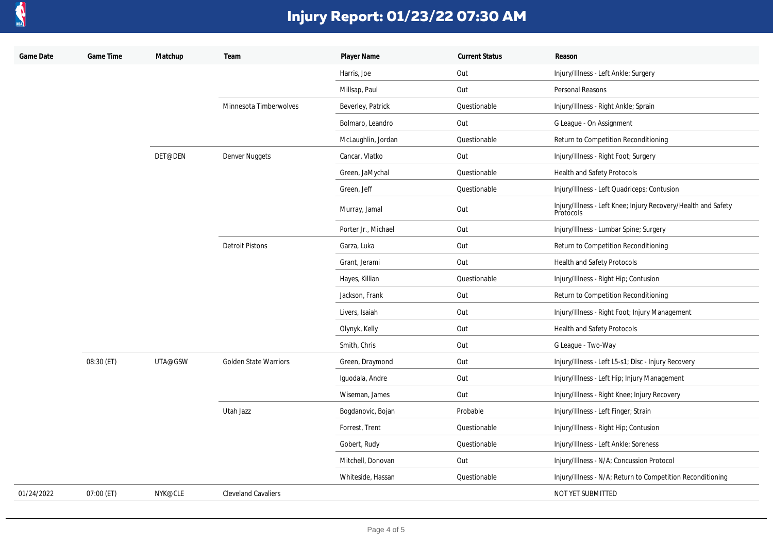

| Game Date  | Game Time  | Matchup | Team                         | Player Name         | <b>Current Status</b> | Reason                                                                     |
|------------|------------|---------|------------------------------|---------------------|-----------------------|----------------------------------------------------------------------------|
|            |            |         |                              | Harris, Joe         | Out                   | Injury/Illness - Left Ankle; Surgery                                       |
|            |            |         |                              | Millsap, Paul       | Out                   | Personal Reasons                                                           |
|            |            |         | Minnesota Timberwolves       | Beverley, Patrick   | Questionable          | Injury/Illness - Right Ankle; Sprain                                       |
|            |            |         |                              | Bolmaro, Leandro    | Out                   | G League - On Assignment                                                   |
|            |            |         |                              | McLaughlin, Jordan  | Questionable          | Return to Competition Reconditioning                                       |
|            |            | DET@DEN | Denver Nuggets               | Cancar, Vlatko      | Out                   | Injury/Illness - Right Foot; Surgery                                       |
|            |            |         |                              | Green, JaMychal     | Questionable          | Health and Safety Protocols                                                |
|            |            |         |                              | Green, Jeff         | Questionable          | Injury/Illness - Left Quadriceps; Contusion                                |
|            |            |         |                              | Murray, Jamal       | Out                   | Injury/Illness - Left Knee; Injury Recovery/Health and Safety<br>Protocols |
|            |            |         |                              | Porter Jr., Michael | Out                   | Injury/Illness - Lumbar Spine; Surgery                                     |
|            |            |         | <b>Detroit Pistons</b>       | Garza, Luka         | Out                   | Return to Competition Reconditioning                                       |
|            |            |         |                              | Grant, Jerami       | Out                   | Health and Safety Protocols                                                |
|            |            |         |                              | Hayes, Killian      | Questionable          | Injury/Illness - Right Hip; Contusion                                      |
|            |            |         |                              | Jackson, Frank      | Out                   | Return to Competition Reconditioning                                       |
|            |            |         |                              | Livers, Isaiah      | Out                   | Injury/Illness - Right Foot; Injury Management                             |
|            |            |         |                              | Olynyk, Kelly       | Out                   | Health and Safety Protocols                                                |
|            |            |         |                              | Smith, Chris        | Out                   | G League - Two-Way                                                         |
|            | 08:30 (ET) | UTA@GSW | <b>Golden State Warriors</b> | Green, Draymond     | Out                   | Injury/Illness - Left L5-s1; Disc - Injury Recovery                        |
|            |            |         |                              | Iguodala, Andre     | Out                   | Injury/Illness - Left Hip; Injury Management                               |
|            |            |         |                              | Wiseman, James      | Out                   | Injury/Illness - Right Knee; Injury Recovery                               |
|            |            |         | Utah Jazz                    | Bogdanovic, Bojan   | Probable              | Injury/Illness - Left Finger; Strain                                       |
|            |            |         |                              | Forrest, Trent      | Questionable          | Injury/Illness - Right Hip; Contusion                                      |
|            |            |         |                              | Gobert, Rudy        | Questionable          | Injury/Illness - Left Ankle; Soreness                                      |
|            |            |         |                              | Mitchell, Donovan   | Out                   | Injury/Illness - N/A; Concussion Protocol                                  |
|            |            |         |                              | Whiteside, Hassan   | Questionable          | Injury/Illness - N/A; Return to Competition Reconditioning                 |
| 01/24/2022 | 07:00 (ET) | NYK@CLE | <b>Cleveland Cavaliers</b>   |                     |                       | NOT YET SUBMITTED                                                          |